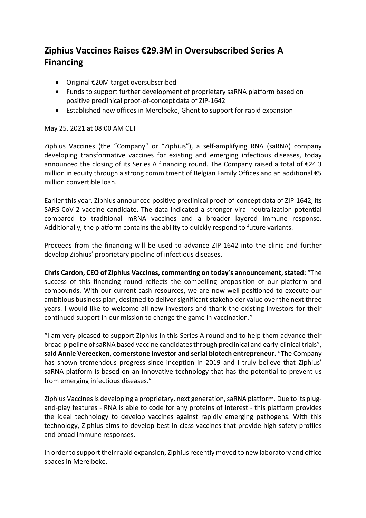## **Ziphius Vaccines Raises €29.3M in Oversubscribed Series A Financing**

- Original €20M target oversubscribed
- Funds to support further development of proprietary saRNA platform based on positive preclinical proof-of-concept data of ZIP-1642
- Established new offices in Merelbeke, Ghent to support for rapid expansion

## May 25, 2021 at 08:00 AM CET

Ziphius Vaccines (the "Company" or "Ziphius"), a self-amplifying RNA (saRNA) company developing transformative vaccines for existing and emerging infectious diseases, today announced the closing of its Series A financing round. The Company raised a total of €24.3 million in equity through a strong commitment of Belgian Family Offices and an additional €5 million convertible loan.

Earlier this year, Ziphius announced positive preclinical proof-of-concept data of ZIP-1642, its SARS-CoV-2 vaccine candidate. The data indicated a stronger viral neutralization potential compared to traditional mRNA vaccines and a broader layered immune response. Additionally, the platform contains the ability to quickly respond to future variants.

Proceeds from the financing will be used to advance ZIP-1642 into the clinic and further develop Ziphius' proprietary pipeline of infectious diseases.

**Chris Cardon, CEO of Ziphius Vaccines, commenting on today's announcement, stated:** "The success of this financing round reflects the compelling proposition of our platform and compounds. With our current cash resources, we are now well-positioned to execute our ambitious business plan, designed to deliver significant stakeholder value over the next three years. I would like to welcome all new investors and thank the existing investors for their continued support in our mission to change the game in vaccination."

"I am very pleased to support Ziphius in this Series A round and to help them advance their broad pipeline of saRNA based vaccine candidates through preclinical and early-clinical trials", **said Annie Vereecken, cornerstone investor and serial biotech entrepreneur.** "The Company has shown tremendous progress since inception in 2019 and I truly believe that Ziphius' saRNA platform is based on an innovative technology that has the potential to prevent us from emerging infectious diseases."

Ziphius Vaccines is developing a proprietary, next generation, saRNA platform. Due to its plugand-play features - RNA is able to code for any proteins of interest - this platform provides the ideal technology to develop vaccines against rapidly emerging pathogens. With this technology, Ziphius aims to develop best-in-class vaccines that provide high safety profiles and broad immune responses.

In order to support their rapid expansion, Ziphius recently moved to new laboratory and office spaces in Merelbeke.